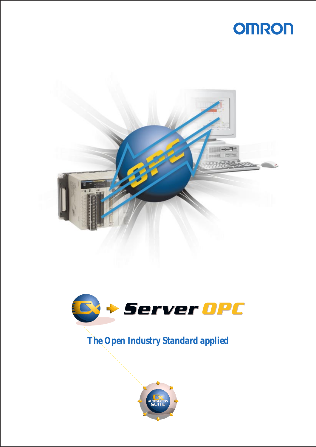





*The Open Industry Standard applied*

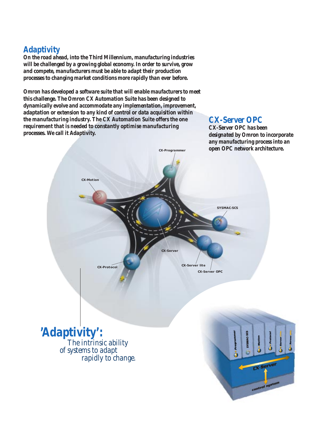## *Adaptivity*

*On the road ahead, into the Third Millennium, manufacturing industries will be challenged by a growing global economy. In order to survive, grow and compete, manufacturers must be able to adapt their production processes to changing market conditions more rapidly than ever before.*

*Omron has developed a software suite that will enable maufacturers to meet this challenge. The Omron CX Automation Suite has been designed to dynamically evolve and accommodate any implementation, improvement, adaptation or extension to any kind of control or data acquisition within the manufacturing industry. The CX Automation Suite offers the one requirement that is needed to constantly optimise manufacturing processes. We call it Adaptivity.*

### *CX-Server OPC*

*CX-Server OPC has been designated by Omron to incorporate any manufacturing process into an open OPC network architecture.*

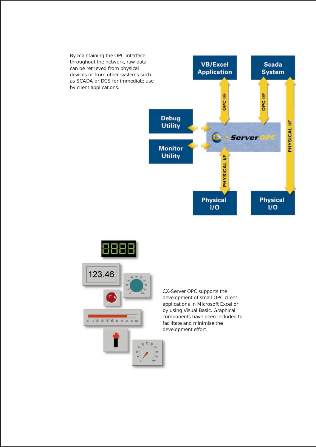



CX-Server OPC supports the development of small OPC client applications in Microsoft Excel or by using Visual Basic. Graphical components have been included to facilitate and minimise the development effort.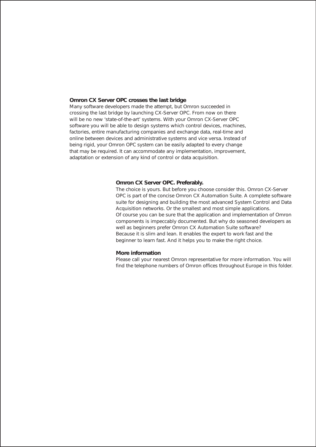#### **Omron CX Server OPC crosses the last bridge**

Many software developers made the attempt, but Omron succeeded in crossing the last bridge by launching CX-Server OPC. From now on there will be no new 'state-of-the-art' systems. With your Omron CX-Server OPC software you will be able to design systems which control devices, machines, factories, entire manufacturing companies and exchange data, real-time and online between devices and administrative systems and vice versa. Instead of being rigid, your Omron OPC system can be easily adapted to every change that may be required. It can accommodate any implementation, improvement, adaptation or extension of any kind of control or data acquisition.

#### **Omron CX Server OPC. Preferably.**

The choice is yours. But before you choose consider this. Omron CX-Server OPC is part of the concise Omron CX Automation Suite. A complete software suite for designing and building the most advanced System Control and Data Acquisition networks. Or the smallest and most simple applications. Of course you can be sure that the application and implementation of Omron components is impeccably documented. But why do seasoned developers as well as beginners prefer Omron CX Automation Suite software? Because it is slim and lean. It enables the expert to work fast and the beginner to learn fast. And it helps you to make the right choice.

#### **More information**

Please call your nearest Omron representative for more information. You will find the telephone numbers of Omron offices throughout Europe in this folder.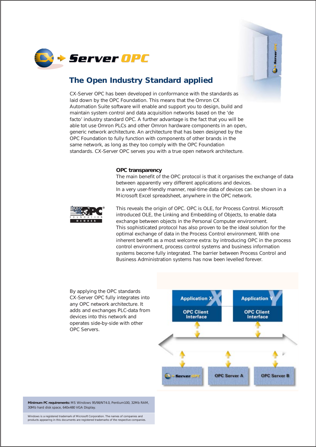



## **The Open Industry Standard applied**

CX-Server OPC has been developed in conformance with the standards as laid down by the OPC Foundation. This means that the Omron CX Automation Suite software will enable and support you to design, build and maintain system control and data acquisition networks based on the 'de facto' industry standard OPC. A further advantage is the fact that you will be able tot use Omron PLCs and other Omron hardware components in an open, generic network architecture. An architecture that has been designed by the OPC Foundation to fully function with components of other brands in the same network, as long as they too comply with the OPC Foundation standards. CX-Server OPC serves you with a true open network architecture.

#### **OPC transparency**

The main benefit of the OPC protocol is that it organises the exchange of data between apparently very different applications and devices. In a very user-friendly manner, real-time data of devices can be shown in a Microsoft Excel spreadsheet, anywhere in the OPC network.



This reveals the origin of OPC. OPC is OLE, for Process Control. Microsoft introduced OLE, the Linking and Embedding of Objects, to enable data exchange between objects in the Personal Computer environment. This sophisticated protocol has also proven to be the ideal solution for the optimal exchange of data in the Process Control environment. With one inherent benefit as a most welcome extra: by introducing OPC in the process control environment, process control systems and business information systems become fully integrated. The barrier between Process Control and Business Administration systems has now been levelled forever.

By applying the OPC standards CX-Server OPC fully integrates into any OPC network architecture. It adds and exchanges PLC-data from devices into this network and operates side-by-side with other OPC Servers.



**Minimum PC requirements:** MS Windows 95/98/NT4.0, Pentium100, 32Mb RAM, 30Mb hard disk space, 640x480 VGA Display.

Windows is a registered trademark of Microsoft Corporation. The names of companies and products appearing in this documents are registered trademarks of the respective companies.